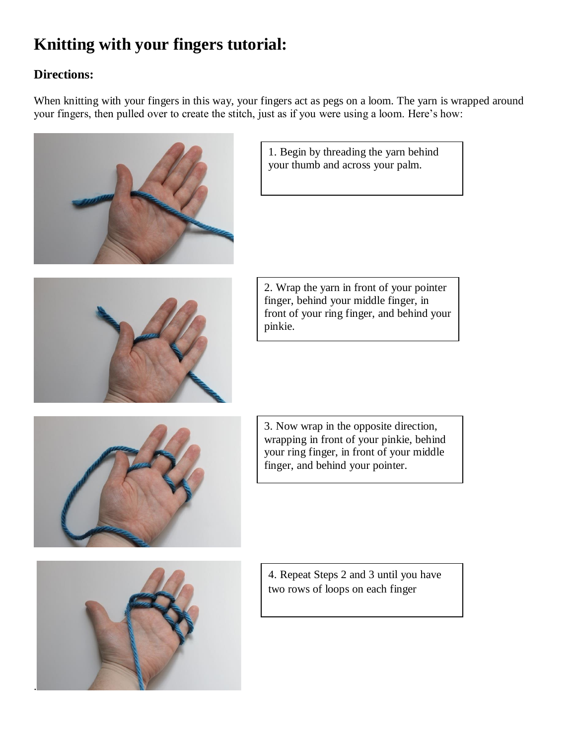## **Knitting with your fingers tutorial:**

## **Directions:**

When knitting with your fingers in this way, your fingers act as pegs on a loom. The yarn is wrapped around your fingers, then pulled over to create the stitch, just as if you were using a loom. Here's how:





1. Begin by threading the yarn behind your thumb and across your palm.

2. Wrap the yarn in front of your pointer finger, behind your middle finger, in front of your ring finger, and behind your pinkie.



3. Now wrap in the opposite direction, wrapping in front of your pinkie, behind your ring finger, in front of your middle finger, and behind your pointer.



4. Repeat Steps 2 and 3 until you have two rows of loops on each finger